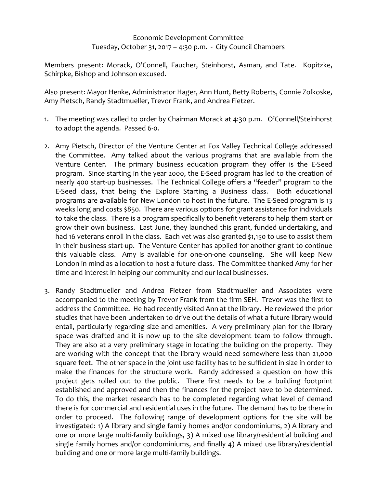## Economic Development Committee Tuesday, October 31, 2017 – 4:30 p.m. - City Council Chambers

Members present: Morack, O'Connell, Faucher, Steinhorst, Asman, and Tate. Kopitzke, Schirpke, Bishop and Johnson excused.

Also present: Mayor Henke, Administrator Hager, Ann Hunt, Betty Roberts, Connie Zolkoske, Amy Pietsch, Randy Stadtmueller, Trevor Frank, and Andrea Fietzer.

- 1. The meeting was called to order by Chairman Morack at 4:30 p.m. O'Connell/Steinhorst to adopt the agenda. Passed 6-0.
- 2. Amy Pietsch, Director of the Venture Center at Fox Valley Technical College addressed the Committee. Amy talked about the various programs that are available from the Venture Center. The primary business education program they offer is the E-Seed program. Since starting in the year 2000, the E-Seed program has led to the creation of nearly 400 start-up businesses. The Technical College offers a "feeder" program to the E-Seed class, that being the Explore Starting a Business class. Both educational programs are available for New London to host in the future. The E-Seed program is 13 weeks long and costs \$850. There are various options for grant assistance for individuals to take the class. There is a program specifically to benefit veterans to help them start or grow their own business. Last June, they launched this grant, funded undertaking, and had 16 veterans enroll in the class. Each vet was also granted \$1,150 to use to assist them in their business start-up. The Venture Center has applied for another grant to continue this valuable class. Amy is available for one-on-one counseling. She will keep New London in mind as a location to host a future class. The Committee thanked Amy for her time and interest in helping our community and our local businesses.
- 3. Randy Stadtmueller and Andrea Fietzer from Stadtmueller and Associates were accompanied to the meeting by Trevor Frank from the firm SEH. Trevor was the first to address the Committee. He had recently visited Ann at the library. He reviewed the prior studies that have been undertaken to drive out the details of what a future library would entail, particularly regarding size and amenities. A very preliminary plan for the library space was drafted and it is now up to the site development team to follow through. They are also at a very preliminary stage in locating the building on the property. They are working with the concept that the library would need somewhere less than 21,000 square feet. The other space in the joint use facility has to be sufficient in size in order to make the finances for the structure work. Randy addressed a question on how this project gets rolled out to the public. There first needs to be a building footprint established and approved and then the finances for the project have to be determined. To do this, the market research has to be completed regarding what level of demand there is for commercial and residential uses in the future. The demand has to be there in order to proceed. The following range of development options for the site will be investigated: 1) A library and single family homes and/or condominiums, 2) A library and one or more large multi-family buildings, 3) A mixed use library/residential building and single family homes and/or condominiums, and finally 4) A mixed use library/residential building and one or more large multi-family buildings.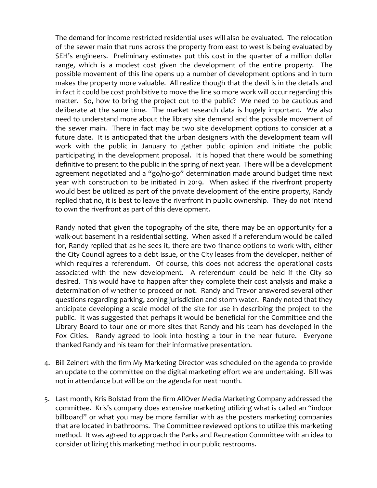The demand for income restricted residential uses will also be evaluated. The relocation of the sewer main that runs across the property from east to west is being evaluated by SEH's engineers. Preliminary estimates put this cost in the quarter of a million dollar range, which is a modest cost given the development of the entire property. The possible movement of this line opens up a number of development options and in turn makes the property more valuable. All realize though that the devil is in the details and in fact it could be cost prohibitive to move the line so more work will occur regarding this matter. So, how to bring the project out to the public? We need to be cautious and deliberate at the same time. The market research data is hugely important. We also need to understand more about the library site demand and the possible movement of the sewer main. There in fact may be two site development options to consider at a future date. It is anticipated that the urban designers with the development team will work with the public in January to gather public opinion and initiate the public participating in the development proposal. It is hoped that there would be something definitive to present to the public in the spring of next year. There will be a development agreement negotiated and a "go/no-go" determination made around budget time next year with construction to be initiated in 2019. When asked if the riverfront property would best be utilized as part of the private development of the entire property, Randy replied that no, it is best to leave the riverfront in public ownership. They do not intend to own the riverfront as part of this development.

Randy noted that given the topography of the site, there may be an opportunity for a walk-out basement in a residential setting. When asked if a referendum would be called for, Randy replied that as he sees it, there are two finance options to work with, either the City Council agrees to a debt issue, or the City leases from the developer, neither of which requires a referendum. Of course, this does not address the operational costs associated with the new development. A referendum could be held if the City so desired. This would have to happen after they complete their cost analysis and make a determination of whether to proceed or not. Randy and Trevor answered several other questions regarding parking, zoning jurisdiction and storm water. Randy noted that they anticipate developing a scale model of the site for use in describing the project to the public. It was suggested that perhaps it would be beneficial for the Committee and the Library Board to tour one or more sites that Randy and his team has developed in the Fox Cities. Randy agreed to look into hosting a t0ur in the near future. Everyone thanked Randy and his team for their informative presentation.

- 4. Bill Zeinert with the firm My Marketing Director was scheduled on the agenda to provide an update to the committee on the digital marketing effort we are undertaking. Bill was not in attendance but will be on the agenda for next month.
- 5. Last month, Kris Bolstad from the firm AllOver Media Marketing Company addressed the committee. Kris's company does extensive marketing utilizing what is called an "indoor billboard" or what you may be more familiar with as the posters marketing companies that are located in bathrooms. The Committee reviewed options to utilize this marketing method. It was agreed to approach the Parks and Recreation Committee with an idea to consider utilizing this marketing method in our public restrooms.